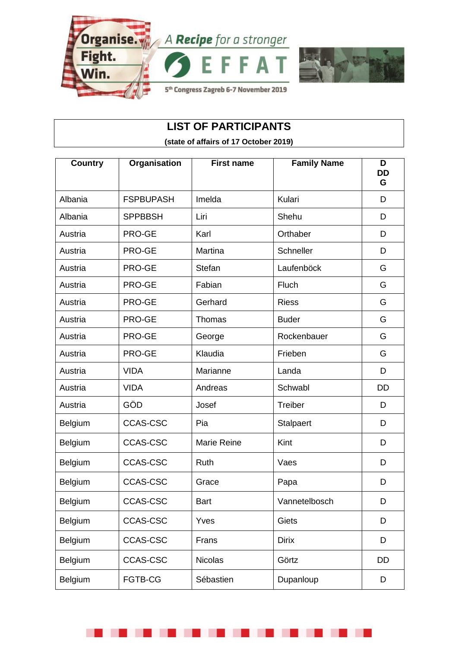



#### **LIST OF PARTICIPANTS**

**(state of affairs of 17 October 2019)**

| <b>Country</b> | Organisation     | <b>First name</b>  | <b>Family Name</b> | D<br><b>DD</b><br>G |
|----------------|------------------|--------------------|--------------------|---------------------|
| Albania        | <b>FSPBUPASH</b> | Imelda             | Kulari             | D                   |
| Albania        | <b>SPPBBSH</b>   | Liri               | Shehu              | D                   |
| Austria        | PRO-GE           | Karl               | Orthaber           | D                   |
| Austria        | PRO-GE           | Martina            | Schneller          | D                   |
| Austria        | PRO-GE           | <b>Stefan</b>      | Laufenböck         | G                   |
| Austria        | PRO-GE           | Fabian             | Fluch              | G                   |
| Austria        | PRO-GE           | Gerhard            | <b>Riess</b>       | G                   |
| Austria        | PRO-GE           | Thomas             | <b>Buder</b>       | G                   |
| Austria        | PRO-GE           | George             | Rockenbauer        | G                   |
| Austria        | PRO-GE           | Klaudia            | Frieben            | G                   |
| Austria        | <b>VIDA</b>      | Marianne           | Landa              | D                   |
| Austria        | <b>VIDA</b>      | Andreas            | Schwabl            | <b>DD</b>           |
| Austria        | GÖD              | Josef              | Treiber            | D                   |
| Belgium        | <b>CCAS-CSC</b>  | Pia                | <b>Stalpaert</b>   | D                   |
| Belgium        | <b>CCAS-CSC</b>  | <b>Marie Reine</b> | Kint               | D                   |
| Belgium        | <b>CCAS-CSC</b>  | Ruth               | Vaes               | D                   |
| Belgium        | <b>CCAS-CSC</b>  | Grace              | Papa               | D                   |
| Belgium        | <b>CCAS-CSC</b>  | <b>Bart</b>        | Vannetelbosch      | D                   |
| Belgium        | <b>CCAS-CSC</b>  | Yves               | Giets              | D                   |
| <b>Belgium</b> | <b>CCAS-CSC</b>  | Frans              | <b>Dirix</b>       | D                   |
| Belgium        | <b>CCAS-CSC</b>  | <b>Nicolas</b>     | Görtz              | DD                  |
| Belgium        | FGTB-CG          | Sébastien          | Dupanloup          | D                   |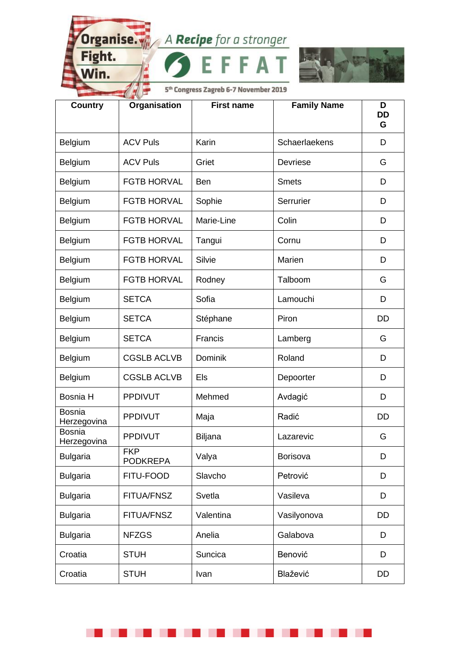Fight.

Nin.

. .

. .



5<sup>th</sup> Congress Zagreb 6-7 November 2019

A

| <b>Country</b>               | Organisation                  | <b>First name</b> | <b>Family Name</b> | D<br><b>DD</b><br>G |
|------------------------------|-------------------------------|-------------------|--------------------|---------------------|
| Belgium                      | <b>ACV Puls</b>               | Karin             | Schaerlaekens      | D                   |
| Belgium                      | <b>ACV Puls</b>               | Griet             | Devriese           | G                   |
| Belgium                      | <b>FGTB HORVAL</b>            | <b>Ben</b>        | <b>Smets</b>       | D                   |
| Belgium                      | <b>FGTB HORVAL</b>            | Sophie            | Serrurier          | D                   |
| Belgium                      | <b>FGTB HORVAL</b>            | Marie-Line        | Colin              | D                   |
| Belgium                      | <b>FGTB HORVAL</b>            | Tangui            | Cornu              | D                   |
| Belgium                      | <b>FGTB HORVAL</b>            | Silvie            | Marien             | D                   |
| Belgium                      | <b>FGTB HORVAL</b>            | Rodney            | Talboom            | G                   |
| Belgium                      | <b>SETCA</b>                  | Sofia             | Lamouchi           | D                   |
| Belgium                      | <b>SETCA</b>                  | Stéphane          | Piron              | <b>DD</b>           |
| Belgium                      | <b>SETCA</b>                  | Francis           | Lamberg            | G                   |
| Belgium                      | <b>CGSLB ACLVB</b>            | Dominik           | Roland             | D                   |
| Belgium                      | <b>CGSLB ACLVB</b>            | Els               | Depoorter          | D                   |
| Bosnia H                     | <b>PPDIVUT</b>                | Mehmed            | Avdagić            | D                   |
| <b>Bosnia</b><br>Herzegovina | <b>PPDIVUT</b>                | Maja              | Radić              | <b>DD</b>           |
| <b>Bosnia</b><br>Herzegovina | <b>PPDIVUT</b>                | Biljana           | Lazarevic          | G                   |
| <b>Bulgaria</b>              | <b>FKP</b><br><b>PODKREPA</b> | Valya             | Borisova           | D                   |
| <b>Bulgaria</b>              | FITU-FOOD                     | Slavcho           | Petrović           | D                   |
| <b>Bulgaria</b>              | <b>FITUA/FNSZ</b>             | Svetla            | Vasileva           | D                   |
| <b>Bulgaria</b>              | <b>FITUA/FNSZ</b>             | Valentina         | Vasilyonova        | <b>DD</b>           |
| <b>Bulgaria</b>              | <b>NFZGS</b>                  | Anelia            | Galabova           | D                   |
| Croatia                      | <b>STUH</b>                   | Suncica           | Benović            | D                   |
| Croatia                      | <b>STUH</b>                   | Ivan              | Blažević           | DD                  |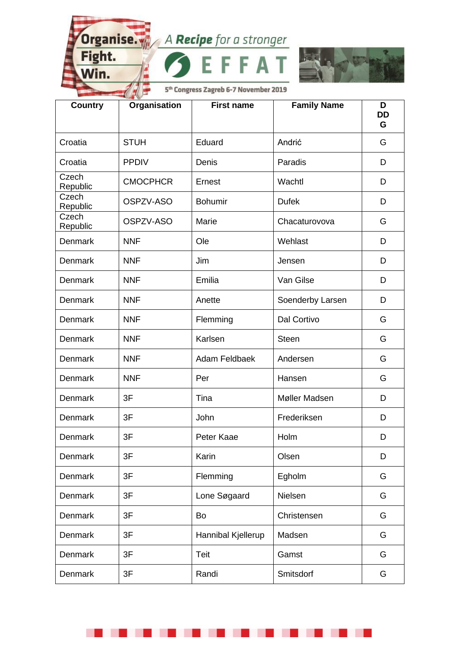A

I

Fight.

Nin.

. .

. .



| <b>Country</b>    | Organisation    | <b>First name</b>  | <b>Family Name</b> | D<br><b>DD</b><br>G |
|-------------------|-----------------|--------------------|--------------------|---------------------|
| Croatia           | <b>STUH</b>     | Eduard             | Andrić             | G                   |
| Croatia           | <b>PPDIV</b>    | Denis              | Paradis            | D                   |
| Czech<br>Republic | <b>CMOCPHCR</b> | Ernest             | Wachtl             | D                   |
| Czech<br>Republic | OSPZV-ASO       | <b>Bohumir</b>     | <b>Dufek</b>       | D                   |
| Czech<br>Republic | OSPZV-ASO       | Marie              | Chacaturovova      | G                   |
| Denmark           | <b>NNF</b>      | Ole                | Wehlast            | D                   |
| Denmark           | <b>NNF</b>      | Jim                | Jensen             | D                   |
| Denmark           | <b>NNF</b>      | Emilia             | Van Gilse          | D                   |
| Denmark           | <b>NNF</b>      | Anette             | Soenderby Larsen   | D                   |
| Denmark           | <b>NNF</b>      | Flemming           | Dal Cortivo        | G                   |
| Denmark           | <b>NNF</b>      | Karlsen            | <b>Steen</b>       | G                   |
| Denmark           | <b>NNF</b>      | Adam Feldbaek      | Andersen           | G                   |
| Denmark           | <b>NNF</b>      | Per                | Hansen             | G                   |
| Denmark           | 3F              | Tina               | Møller Madsen      | D                   |
| Denmark           | 3F              | John               | Frederiksen        | D                   |
| Denmark           | 3F              | Peter Kaae         | Holm               | D                   |
| Denmark           | 3F              | Karin              | Olsen              | D                   |
| Denmark           | 3F              | Flemming           | Egholm             | G                   |
| Denmark           | 3F              | Lone Søgaard       | Nielsen            | G                   |
| Denmark           | 3F              | Bo                 | Christensen        | G                   |
| Denmark           | 3F              | Hannibal Kjellerup | Madsen             | G                   |
| Denmark           | 3F              | Teit               | Gamst              | G                   |
| Denmark           | 3F              | Randi              | Smitsdorf          | G                   |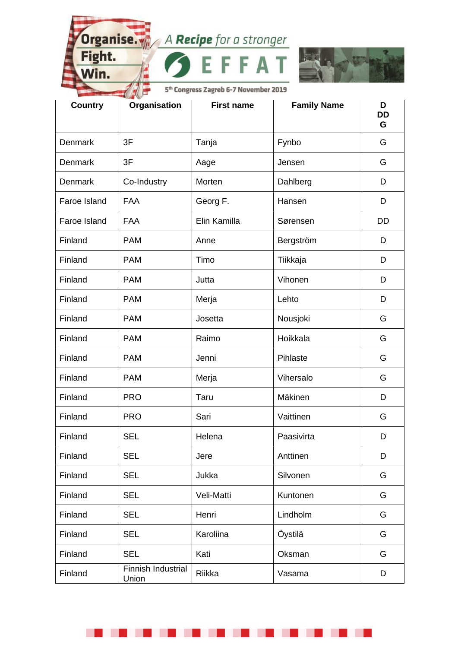A

I

Fight.

Nin.

. .

. .



| <b>Country</b> | Organisation                | <b>First name</b> | <b>Family Name</b> | D<br><b>DD</b><br>G |
|----------------|-----------------------------|-------------------|--------------------|---------------------|
| Denmark        | 3F                          | Tanja             | Fynbo              | G                   |
| Denmark        | 3F                          | Aage              | Jensen             | G                   |
| Denmark        | Co-Industry                 | Morten            | Dahlberg           | D                   |
| Faroe Island   | <b>FAA</b>                  | Georg F.          | Hansen             | D                   |
| Faroe Island   | <b>FAA</b>                  | Elin Kamilla      | Sørensen           | <b>DD</b>           |
| Finland        | <b>PAM</b>                  | Anne              | Bergström          | D                   |
| Finland        | <b>PAM</b>                  | Timo              | Tiikkaja           | D                   |
| Finland        | <b>PAM</b>                  | Jutta             | Vihonen            | D                   |
| Finland        | <b>PAM</b>                  | Merja             | Lehto              | D                   |
| Finland        | <b>PAM</b>                  | Josetta           | Nousjoki           | G                   |
| Finland        | <b>PAM</b>                  | Raimo             | Hoikkala           | G                   |
| Finland        | <b>PAM</b>                  | Jenni             | Pihlaste           | G                   |
| Finland        | <b>PAM</b>                  | Merja             | Vihersalo          | G                   |
| Finland        | <b>PRO</b>                  | Taru              | Mäkinen            | D                   |
| Finland        | <b>PRO</b>                  | Sari              | Vaittinen          | G                   |
| Finland        | <b>SEL</b>                  | Helena            | Paasivirta         | D                   |
| Finland        | <b>SEL</b>                  | Jere              | Anttinen           | D                   |
| Finland        | <b>SEL</b>                  | Jukka             | Silvonen           | G                   |
| Finland        | <b>SEL</b>                  | Veli-Matti        | Kuntonen           | G                   |
| Finland        | <b>SEL</b>                  | Henri             | Lindholm           | G                   |
| Finland        | <b>SEL</b>                  | Karoliina         | Öystilä            | G                   |
| Finland        | <b>SEL</b>                  | Kati              | Oksman             | G                   |
| Finland        | Finnish Industrial<br>Union | Riikka            | Vasama             | D                   |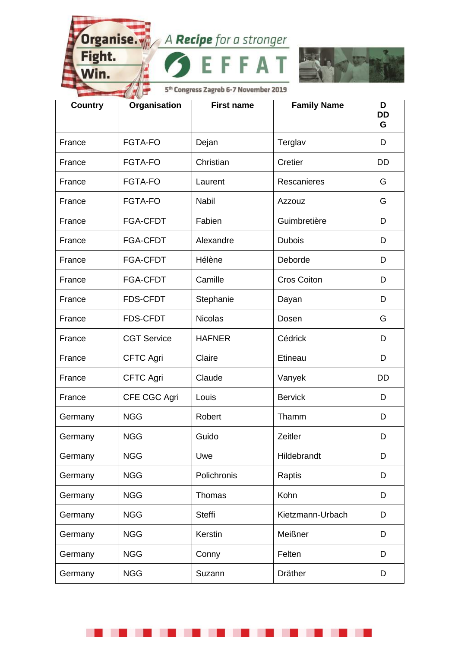Fight.

Nin.

. .

. .



5<sup>th</sup> Congress Zagreb 6-7 November 2019

A

| <b>Country</b> | Organisation       | <b>First name</b> | <b>Family Name</b> | D<br><b>DD</b><br>G |
|----------------|--------------------|-------------------|--------------------|---------------------|
| France         | <b>FGTA-FO</b>     | Dejan             | Terglav            | D                   |
| France         | <b>FGTA-FO</b>     | Christian         | Cretier            | <b>DD</b>           |
| France         | <b>FGTA-FO</b>     | Laurent           | Rescanieres        | G                   |
| France         | <b>FGTA-FO</b>     | <b>Nabil</b>      | Azzouz             | G                   |
| France         | <b>FGA-CFDT</b>    | Fabien            | Guimbretière       | D                   |
| France         | <b>FGA-CFDT</b>    | Alexandre         | <b>Dubois</b>      | D                   |
| France         | <b>FGA-CFDT</b>    | Hélène            | Deborde            | D                   |
| France         | <b>FGA-CFDT</b>    | Camille           | <b>Cros Coiton</b> | D                   |
| France         | <b>FDS-CFDT</b>    | Stephanie         | Dayan              | D                   |
| France         | <b>FDS-CFDT</b>    | <b>Nicolas</b>    | Dosen              | G                   |
| France         | <b>CGT Service</b> | <b>HAFNER</b>     | Cédrick            | D                   |
| France         | <b>CFTC Agri</b>   | Claire            | Etineau            | D                   |
| France         | <b>CFTC Agri</b>   | Claude            | Vanyek             | DD                  |
| France         | CFE CGC Agri       | Louis             | <b>Bervick</b>     | D                   |
| Germany        | <b>NGG</b>         | Robert            | Thamm              | D                   |
| Germany        | <b>NGG</b>         | Guido             | Zeitler            | D                   |
| Germany        | <b>NGG</b>         | Uwe               | Hildebrandt        | D                   |
| Germany        | <b>NGG</b>         | Polichronis       | Raptis             | D                   |
| Germany        | <b>NGG</b>         | <b>Thomas</b>     | Kohn               | D                   |
| Germany        | <b>NGG</b>         | <b>Steffi</b>     | Kietzmann-Urbach   | D                   |
| Germany        | <b>NGG</b>         | Kerstin           | Meißner            | D                   |
| Germany        | <b>NGG</b>         | Conny             | Felten             | D                   |
| Germany        | <b>NGG</b>         | Suzann            | <b>Dräther</b>     | D                   |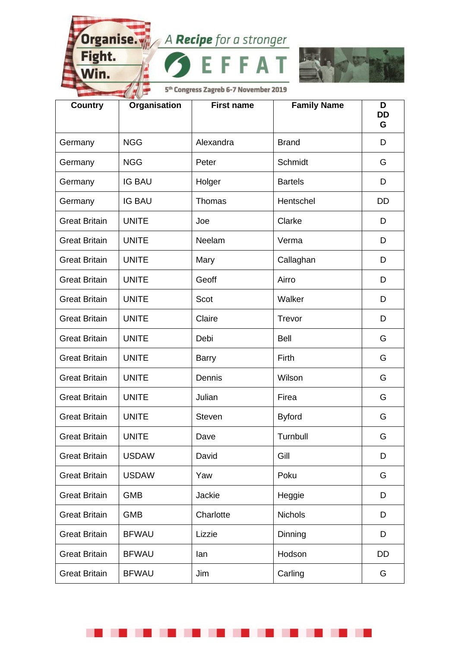A

I

Fight.

Nin.

. .

. .



| <b>Country</b>       | Organisation  | <b>First name</b> | <b>Family Name</b> | D<br><b>DD</b><br>G |
|----------------------|---------------|-------------------|--------------------|---------------------|
| Germany              | <b>NGG</b>    | Alexandra         | <b>Brand</b>       | D                   |
| Germany              | <b>NGG</b>    | Peter             | Schmidt            | G                   |
| Germany              | <b>IG BAU</b> | Holger            | <b>Bartels</b>     | D                   |
| Germany              | <b>IG BAU</b> | Thomas            | Hentschel          | <b>DD</b>           |
| <b>Great Britain</b> | <b>UNITE</b>  | Joe               | Clarke             | D                   |
| <b>Great Britain</b> | <b>UNITE</b>  | Neelam            | Verma              | D                   |
| <b>Great Britain</b> | <b>UNITE</b>  | Mary              | Callaghan          | D                   |
| <b>Great Britain</b> | <b>UNITE</b>  | Geoff             | Airro              | D                   |
| <b>Great Britain</b> | <b>UNITE</b>  | Scot              | Walker             | D                   |
| <b>Great Britain</b> | <b>UNITE</b>  | Claire            | Trevor             | D                   |
| <b>Great Britain</b> | <b>UNITE</b>  | Debi              | <b>Bell</b>        | G                   |
| <b>Great Britain</b> | <b>UNITE</b>  | <b>Barry</b>      | Firth              | G                   |
| <b>Great Britain</b> | <b>UNITE</b>  | Dennis            | Wilson             | G                   |
| <b>Great Britain</b> | <b>UNITE</b>  | Julian            | Firea              | G                   |
| <b>Great Britain</b> | <b>UNITE</b>  | <b>Steven</b>     | <b>Byford</b>      | G                   |
| <b>Great Britain</b> | <b>UNITE</b>  | Dave              | Turnbull           | G                   |
| <b>Great Britain</b> | <b>USDAW</b>  | David             | Gill               | D                   |
| <b>Great Britain</b> | <b>USDAW</b>  | Yaw               | Poku               | G                   |
| <b>Great Britain</b> | <b>GMB</b>    | Jackie            | Heggie             | D                   |
| <b>Great Britain</b> | <b>GMB</b>    | Charlotte         | <b>Nichols</b>     | D                   |
| <b>Great Britain</b> | <b>BFWAU</b>  | Lizzie            | Dinning            | D                   |
| <b>Great Britain</b> | <b>BFWAU</b>  | lan               | Hodson             | DD                  |
| <b>Great Britain</b> | <b>BFWAU</b>  | Jim               | Carling            | G                   |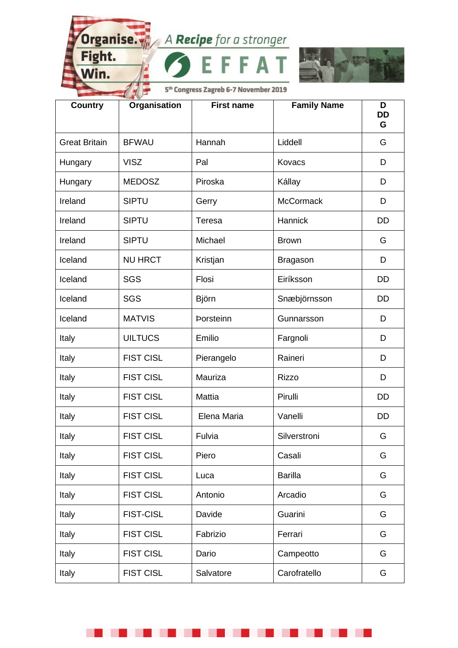A

I

Fight.

Win.

. .

. .



| <b>Country</b>       | Organisation     | <b>First name</b> | <b>Family Name</b> | D<br><b>DD</b><br>G |
|----------------------|------------------|-------------------|--------------------|---------------------|
| <b>Great Britain</b> | <b>BFWAU</b>     | Hannah            | Liddell            | G                   |
| Hungary              | <b>VISZ</b>      | Pal               | Kovacs             | D                   |
| Hungary              | <b>MEDOSZ</b>    | Piroska           | Kállay             | D                   |
| Ireland              | <b>SIPTU</b>     | Gerry             | <b>McCormack</b>   | D                   |
| Ireland              | <b>SIPTU</b>     | Teresa            | Hannick            | DD                  |
| Ireland              | <b>SIPTU</b>     | Michael           | <b>Brown</b>       | G                   |
| Iceland              | <b>NU HRCT</b>   | Kristjan          | <b>Bragason</b>    | D                   |
| Iceland              | <b>SGS</b>       | Flosi             | Eiríksson          | <b>DD</b>           |
| Iceland              | <b>SGS</b>       | Björn             | Snæbjörnsson       | DD                  |
| Iceland              | <b>MATVIS</b>    | <b>Porsteinn</b>  | Gunnarsson         | D                   |
| Italy                | <b>UILTUCS</b>   | Emilio            | Fargnoli           | D                   |
| Italy                | <b>FIST CISL</b> | Pierangelo        | Raineri            | D                   |
| Italy                | <b>FIST CISL</b> | Mauriza           | <b>Rizzo</b>       | D                   |
| Italy                | <b>FIST CISL</b> | Mattia            | Pirulli            | <b>DD</b>           |
| Italy                | <b>FIST CISL</b> | Elena Maria       | Vanelli            | <b>DD</b>           |
| Italy                | <b>FIST CISL</b> | Fulvia            | Silverstroni       | G                   |
| Italy                | <b>FIST CISL</b> | Piero             | Casali             | G                   |
| Italy                | <b>FIST CISL</b> | Luca              | <b>Barilla</b>     | G                   |
| Italy                | <b>FIST CISL</b> | Antonio           | Arcadio            | G                   |
| Italy                | <b>FIST-CISL</b> | Davide            | Guarini            | G                   |
| Italy                | <b>FIST CISL</b> | Fabrizio          | Ferrari            | G                   |
| Italy                | <b>FIST CISL</b> | Dario             | Campeotto          | G                   |
| Italy                | <b>FIST CISL</b> | Salvatore         | Carofratello       | G                   |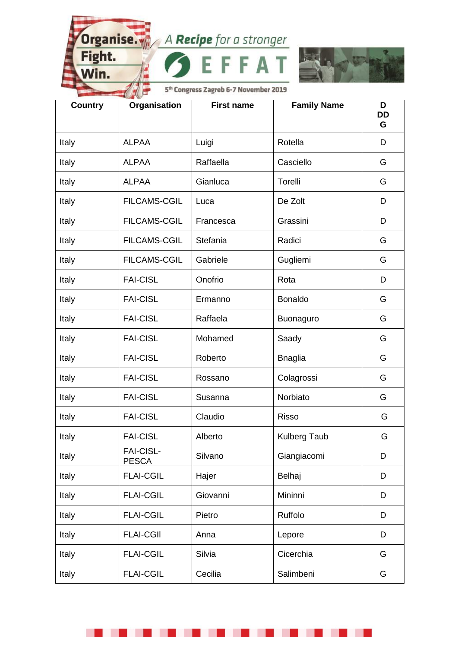Fight.

Nin.

. .

. .



5<sup>th</sup> Congress Zagreb 6-7 November 2019

A

| <b>Country</b> | Organisation                     | <b>First name</b> | <b>Family Name</b>  | D<br><b>DD</b><br>G |
|----------------|----------------------------------|-------------------|---------------------|---------------------|
| Italy          | <b>ALPAA</b>                     | Luigi             | Rotella             | D                   |
| Italy          | <b>ALPAA</b>                     | Raffaella         | Casciello           | G                   |
| Italy          | <b>ALPAA</b>                     | Gianluca          | Torelli             | G                   |
| Italy          | <b>FILCAMS-CGIL</b>              | Luca              | De Zolt             | D                   |
| Italy          | <b>FILCAMS-CGIL</b>              | Francesca         | Grassini            | D                   |
| Italy          | <b>FILCAMS-CGIL</b>              | Stefania          | Radici              | G                   |
| Italy          | <b>FILCAMS-CGIL</b>              | Gabriele          | Gugliemi            | G                   |
| Italy          | <b>FAI-CISL</b>                  | Onofrio           | Rota                | D                   |
| Italy          | <b>FAI-CISL</b>                  | Ermanno           | <b>Bonaldo</b>      | G                   |
| Italy          | <b>FAI-CISL</b>                  | Raffaela          | Buonaguro           | G                   |
| Italy          | <b>FAI-CISL</b>                  | Mohamed           | Saady               | G                   |
| Italy          | <b>FAI-CISL</b>                  | Roberto           | <b>Bnaglia</b>      | G                   |
| Italy          | <b>FAI-CISL</b>                  | Rossano           | Colagrossi          | G                   |
| Italy          | <b>FAI-CISL</b>                  | Susanna           | Norbiato            | G                   |
| Italy          | <b>FAI-CISL</b>                  | Claudio           | <b>Risso</b>        | G                   |
| Italy          | <b>FAI-CISL</b>                  | Alberto           | <b>Kulberg Taub</b> | G                   |
| Italy          | <b>FAI-CISL-</b><br><b>PESCA</b> | Silvano           | Giangiacomi         | D                   |
| Italy          | <b>FLAI-CGIL</b>                 | Hajer             | Belhaj              | D                   |
| Italy          | <b>FLAI-CGIL</b>                 | Giovanni          | Mininni             | D                   |
| Italy          | <b>FLAI-CGIL</b>                 | Pietro            | Ruffolo             | D                   |
| Italy          | <b>FLAI-CGII</b>                 | Anna              | Lepore              | D                   |
| Italy          | <b>FLAI-CGIL</b>                 | Silvia            | Cicerchia           | G                   |
| Italy          | <b>FLAI-CGIL</b>                 | Cecilia           | Salimbeni           | G                   |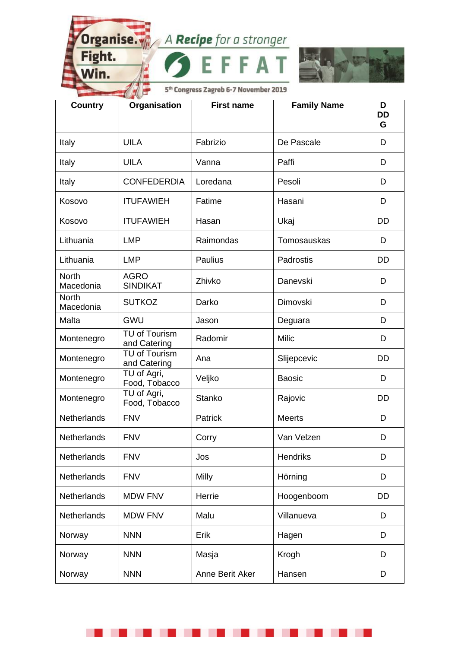A

I

Fight.

Win.

n.

a kara



| <b>Country</b>            | Organisation                   | <b>First name</b> | <b>Family Name</b> | D<br><b>DD</b><br>G |
|---------------------------|--------------------------------|-------------------|--------------------|---------------------|
| Italy                     | <b>UILA</b>                    | Fabrizio          | De Pascale         | D                   |
| Italy                     | <b>UILA</b>                    | Vanna             | Paffi              | D                   |
| Italy                     | <b>CONFEDERDIA</b>             | Loredana          | Pesoli             | D                   |
| Kosovo                    | <b>ITUFAWIEH</b>               | Fatime            | Hasani             | D                   |
| Kosovo                    | <b>ITUFAWIEH</b>               | Hasan             | Ukaj               | DD                  |
| Lithuania                 | <b>LMP</b>                     | Raimondas         | Tomosauskas        | D                   |
| Lithuania                 | <b>LMP</b>                     | Paulius           | Padrostis          | <b>DD</b>           |
| <b>North</b><br>Macedonia | <b>AGRO</b><br><b>SINDIKAT</b> | Zhivko            | Danevski           | D                   |
| <b>North</b><br>Macedonia | <b>SUTKOZ</b>                  | Darko             | <b>Dimovski</b>    | D                   |
| Malta                     | <b>GWU</b>                     | Jason             | Deguara            | D                   |
| Montenegro                | TU of Tourism<br>and Catering  | Radomir           | <b>Milic</b>       | D                   |
| Montenegro                | TU of Tourism<br>and Catering  | Ana               | Slijepcevic        | <b>DD</b>           |
| Montenegro                | TU of Agri,<br>Food, Tobacco   | Veljko            | <b>Baosic</b>      | D                   |
| Montenegro                | TU of Agri,<br>Food, Tobacco   | <b>Stanko</b>     | Rajovic            | <b>DD</b>           |
| Netherlands               | <b>FNV</b>                     | Patrick           | <b>Meerts</b>      | D                   |
| <b>Netherlands</b>        | <b>FNV</b>                     | Corry             | Van Velzen         | D                   |
| Netherlands               | <b>FNV</b>                     | Jos               | <b>Hendriks</b>    | D                   |
| <b>Netherlands</b>        | <b>FNV</b>                     | Milly             | Hörning            | D                   |
| Netherlands               | <b>MDW FNV</b>                 | Herrie            | Hoogenboom         | DD                  |
| Netherlands               | <b>MDW FNV</b>                 | Malu              | Villanueva         | D                   |
| Norway                    | <b>NNN</b>                     | Erik              | Hagen              | D                   |
| Norway                    | <b>NNN</b>                     | Masja             | Krogh              | D                   |
| Norway                    | <b>NNN</b>                     | Anne Berit Aker   | Hansen             | D                   |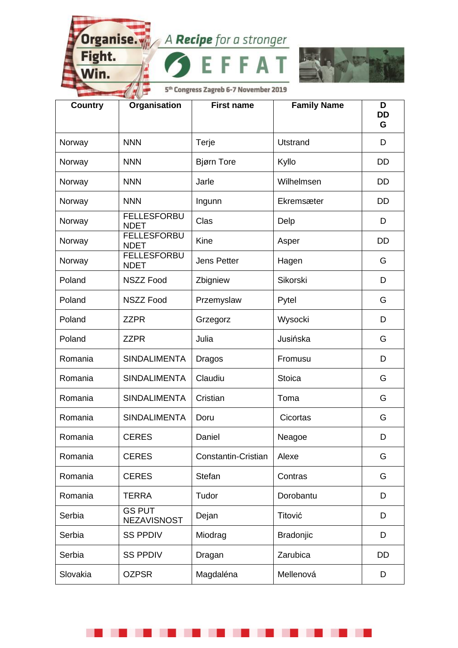A

I

Fight.

Win.

. .

. .



| <b>Country</b> | Organisation                        | <b>First name</b>   | <b>Family Name</b> | D<br><b>DD</b><br>G |
|----------------|-------------------------------------|---------------------|--------------------|---------------------|
| Norway         | <b>NNN</b>                          | Terje               | <b>Utstrand</b>    | D                   |
| Norway         | <b>NNN</b>                          | <b>Bjørn Tore</b>   | Kyllo              | DD                  |
| Norway         | <b>NNN</b>                          | Jarle               | Wilhelmsen         | DD                  |
| Norway         | <b>NNN</b>                          | Ingunn              | Ekremsæter         | <b>DD</b>           |
| Norway         | <b>FELLESFORBU</b><br><b>NDET</b>   | Clas                | Delp               | D                   |
| Norway         | <b>FELLESFORBU</b><br><b>NDET</b>   | Kine                | Asper              | <b>DD</b>           |
| Norway         | <b>FELLESFORBU</b><br><b>NDET</b>   | <b>Jens Petter</b>  | Hagen              | G                   |
| Poland         | <b>NSZZ Food</b>                    | Zbigniew            | Sikorski           | D                   |
| Poland         | <b>NSZZ Food</b>                    | Przemyslaw          | Pytel              | G                   |
| Poland         | <b>ZZPR</b>                         | Grzegorz            | Wysocki            | D                   |
| Poland         | <b>ZZPR</b>                         | Julia               | Jusińska           | G                   |
| Romania        | <b>SINDALIMENTA</b>                 | Dragos              | Fromusu            | D                   |
| Romania        | <b>SINDALIMENTA</b>                 | Claudiu             | <b>Stoica</b>      | G                   |
| Romania        | <b>SINDALIMENTA</b>                 | Cristian            | Toma               | G                   |
| Romania        | <b>SINDALIMENTA</b>                 | Doru                | Cicortas           | G                   |
| Romania        | <b>CERES</b>                        | Daniel              | Neagoe             | D                   |
| Romania        | <b>CERES</b>                        | Constantin-Cristian | Alexe              | G                   |
| Romania        | <b>CERES</b>                        | <b>Stefan</b>       | Contras            | G                   |
| Romania        | <b>TERRA</b>                        | Tudor               | Dorobantu          | D                   |
| Serbia         | <b>GS PUT</b><br><b>NEZAVISNOST</b> | Dejan               | Titović            | D                   |
| Serbia         | <b>SS PPDIV</b>                     | Miodrag             | <b>Bradonjic</b>   | D                   |
| Serbia         | <b>SS PPDIV</b>                     | Dragan              | Zarubica           | <b>DD</b>           |
| Slovakia       | <b>OZPSR</b>                        | Magdaléna           | Mellenová          | D                   |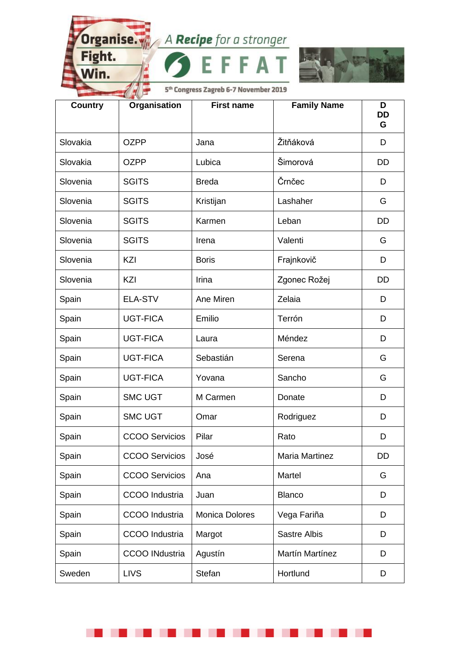Α

I

Fight.

Nin.

ш . . . .



| <b>Country</b> | Organisation          | <b>First name</b>     | <b>Family Name</b>    | D<br><b>DD</b><br>G |
|----------------|-----------------------|-----------------------|-----------------------|---------------------|
| Slovakia       | <b>OZPP</b>           | Jana                  | Žitňáková             | D                   |
| Slovakia       | <b>OZPP</b>           | Lubica                | Šimorová              | <b>DD</b>           |
| Slovenia       | <b>SGITS</b>          | <b>Breda</b>          | Črnčec                | D                   |
| Slovenia       | <b>SGITS</b>          | Kristijan             | Lashaher              | G                   |
| Slovenia       | <b>SGITS</b>          | Karmen                | Leban                 | <b>DD</b>           |
| Slovenia       | <b>SGITS</b>          | Irena                 | Valenti               | G                   |
| Slovenia       | KZI                   | <b>Boris</b>          | Frajnkovič            | D                   |
| Slovenia       | KZI                   | Irina                 | Zgonec Rožej          | DD                  |
| Spain          | <b>ELA-STV</b>        | Ane Miren             | Zelaia                | D                   |
| Spain          | <b>UGT-FICA</b>       | Emilio                | Terrón                | D                   |
| Spain          | <b>UGT-FICA</b>       | Laura                 | Méndez                | D                   |
| Spain          | <b>UGT-FICA</b>       | Sebastián             | Serena                | G                   |
| Spain          | <b>UGT-FICA</b>       | Yovana                | Sancho                | G                   |
| Spain          | <b>SMC UGT</b>        | M Carmen              | Donate                | D                   |
| Spain          | <b>SMC UGT</b>        | Omar                  | Rodriguez             | D                   |
| Spain          | <b>CCOO Servicios</b> | Pilar                 | Rato                  | D                   |
| Spain          | <b>CCOO Servicios</b> | José                  | <b>Maria Martinez</b> | DD                  |
| Spain          | <b>CCOO Servicios</b> | Ana                   | Martel                | G                   |
| Spain          | CCOO Industria        | Juan                  | <b>Blanco</b>         | D                   |
| Spain          | CCOO Industria        | <b>Monica Dolores</b> | Vega Fariña           | D                   |
| Spain          | CCOO Industria        | Margot                | <b>Sastre Albis</b>   | D                   |
| Spain          | <b>CCOO INdustria</b> | Agustín               | Martín Martínez       | D                   |
| Sweden         | <b>LIVS</b>           | Stefan                | Hortlund              | D                   |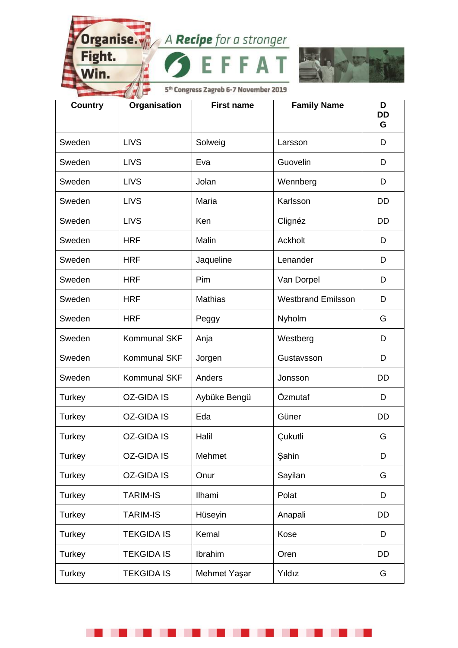A

I

Fight.

Nin.

. .

. .



| <b>Country</b> | Organisation        | <b>First name</b> | <b>Family Name</b>        | D<br><b>DD</b><br>G |
|----------------|---------------------|-------------------|---------------------------|---------------------|
| Sweden         | <b>LIVS</b>         | Solweig           | Larsson                   | D                   |
| Sweden         | <b>LIVS</b>         | Eva               | Guovelin                  | D                   |
| Sweden         | <b>LIVS</b>         | Jolan             | Wennberg                  | D                   |
| Sweden         | <b>LIVS</b>         | Maria             | Karlsson                  | <b>DD</b>           |
| Sweden         | <b>LIVS</b>         | Ken               | Clignéz                   | <b>DD</b>           |
| Sweden         | <b>HRF</b>          | Malin             | Ackholt                   | D                   |
| Sweden         | <b>HRF</b>          | Jaqueline         | Lenander                  | D                   |
| Sweden         | <b>HRF</b>          | Pim               | Van Dorpel                | D                   |
| Sweden         | <b>HRF</b>          | <b>Mathias</b>    | <b>Westbrand Emilsson</b> | D                   |
| Sweden         | <b>HRF</b>          | Peggy             | Nyholm                    | G                   |
| Sweden         | Kommunal SKF        | Anja              | Westberg                  | D                   |
| Sweden         | <b>Kommunal SKF</b> | Jorgen            | Gustavsson                | D                   |
| Sweden         | Kommunal SKF        | Anders            | Jonsson                   | DD                  |
| Turkey         | <b>OZ-GIDA IS</b>   | Aybüke Bengü      | Özmutaf                   | D                   |
| Turkey         | <b>OZ-GIDA IS</b>   | Eda               | Güner                     | DD                  |
| Turkey         | <b>OZ-GIDA IS</b>   | Halil             | Çukutli                   | G                   |
| Turkey         | <b>OZ-GIDA IS</b>   | Mehmet            | Şahin                     | D                   |
| Turkey         | <b>OZ-GIDA IS</b>   | Onur              | Sayilan                   | G                   |
| Turkey         | <b>TARIM-IS</b>     | Ilhami            | Polat                     | D                   |
| Turkey         | <b>TARIM-IS</b>     | Hüseyin           | Anapali                   | DD                  |
| Turkey         | <b>TEKGIDA IS</b>   | Kemal             | Kose                      | D                   |
| Turkey         | <b>TEKGIDA IS</b>   | Ibrahim           | Oren                      | DD                  |
| Turkey         | <b>TEKGIDA IS</b>   | Mehmet Yaşar      | Yıldız                    | G                   |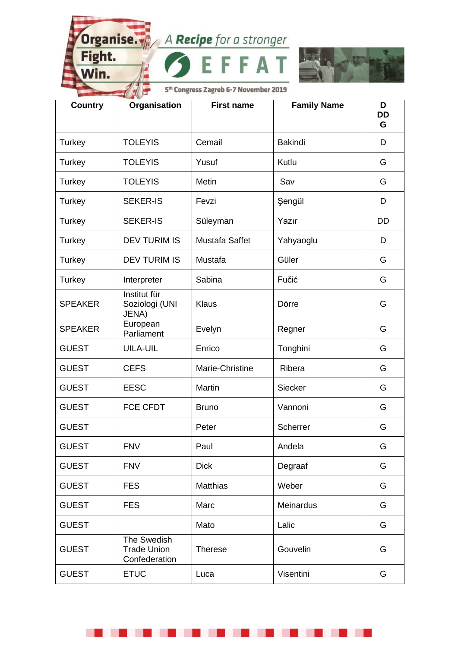Fight.

Win.

. .

. .



5<sup>th</sup> Congress Zagreb 6-7 November 2019

A

| <b>Country</b> | Organisation                                       | <b>First name</b> | <b>Family Name</b> | D<br><b>DD</b><br>G |
|----------------|----------------------------------------------------|-------------------|--------------------|---------------------|
| Turkey         | <b>TOLEYIS</b>                                     | Cemail            | <b>Bakindi</b>     | D                   |
| Turkey         | <b>TOLEYIS</b>                                     | Yusuf             | Kutlu              | G                   |
| Turkey         | <b>TOLEYIS</b>                                     | Metin             | Sav                | G                   |
| Turkey         | <b>SEKER-IS</b>                                    | Fevzi             | Şengül             | D                   |
| Turkey         | <b>SEKER-IS</b>                                    | Süleyman          | Yazır              | DD                  |
| Turkey         | <b>DEV TURIM IS</b>                                | Mustafa Saffet    | Yahyaoglu          | D                   |
| Turkey         | <b>DEV TURIM IS</b>                                | Mustafa           | Güler              | G                   |
| Turkey         | Interpreter                                        | Sabina            | Fučić              | G                   |
| <b>SPEAKER</b> | Institut für<br>Soziologi (UNI<br>JENA)            | Klaus             | Dörre              | G                   |
| <b>SPEAKER</b> | European<br>Parliament                             | Evelyn            | Regner             | G                   |
| <b>GUEST</b>   | <b>UILA-UIL</b>                                    | Enrico            | Tonghini           | G                   |
| <b>GUEST</b>   | <b>CEFS</b>                                        | Marie-Christine   | Ribera             | G                   |
| <b>GUEST</b>   | <b>EESC</b>                                        | Martin            | Siecker            | G                   |
| <b>GUEST</b>   | <b>FCE CFDT</b>                                    | <b>Bruno</b>      | Vannoni            | G                   |
| <b>GUEST</b>   |                                                    | Peter             | Scherrer           | G                   |
| <b>GUEST</b>   | <b>FNV</b>                                         | Paul              | Andela             | G                   |
| <b>GUEST</b>   | <b>FNV</b>                                         | <b>Dick</b>       | Degraaf            | G                   |
| <b>GUEST</b>   | <b>FES</b>                                         | <b>Matthias</b>   | Weber              | G                   |
| <b>GUEST</b>   | <b>FES</b>                                         | Marc              | Meinardus          | G                   |
| <b>GUEST</b>   |                                                    | Mato              | Lalic              | G                   |
| <b>GUEST</b>   | The Swedish<br><b>Trade Union</b><br>Confederation | <b>Therese</b>    | Gouvelin           | G                   |
| <b>GUEST</b>   | <b>ETUC</b>                                        | Luca              | Visentini          | G                   |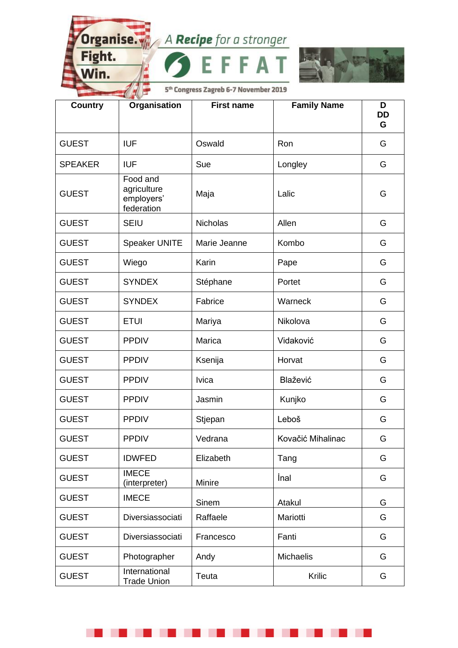A

I

Fight.

Win.

. .

. .



| <b>Country</b> | Organisation                                        | <b>First name</b> | <b>Family Name</b> | D<br><b>DD</b><br>G |
|----------------|-----------------------------------------------------|-------------------|--------------------|---------------------|
| <b>GUEST</b>   | <b>IUF</b>                                          | Oswald            | Ron                | G                   |
| <b>SPEAKER</b> | <b>IUF</b>                                          | Sue               | Longley            | G                   |
| <b>GUEST</b>   | Food and<br>agriculture<br>employers'<br>federation | Maja              | Lalic              | G                   |
| <b>GUEST</b>   | <b>SEIU</b>                                         | <b>Nicholas</b>   | Allen              | G                   |
| <b>GUEST</b>   | <b>Speaker UNITE</b>                                | Marie Jeanne      | Kombo              | G                   |
| <b>GUEST</b>   | Wiego                                               | Karin             | Pape               | G                   |
| <b>GUEST</b>   | <b>SYNDEX</b>                                       | Stéphane          | Portet             | G                   |
| <b>GUEST</b>   | <b>SYNDEX</b>                                       | Fabrice           | Warneck            | G                   |
| <b>GUEST</b>   | <b>ETUI</b>                                         | Mariya            | Nikolova           | G                   |
| <b>GUEST</b>   | <b>PPDIV</b>                                        | Marica            | Vidaković          | G                   |
| <b>GUEST</b>   | <b>PPDIV</b>                                        | Ksenija           | Horvat             | G                   |
| <b>GUEST</b>   | <b>PPDIV</b>                                        | <b>Ivica</b>      | Blažević           | G                   |
| <b>GUEST</b>   | <b>PPDIV</b>                                        | Jasmin            | Kunjko             | G                   |
| <b>GUEST</b>   | <b>PPDIV</b>                                        | Stjepan           | Leboš              | G                   |
| <b>GUEST</b>   | <b>PPDIV</b>                                        | Vedrana           | Kovačić Mihalinac  | G                   |
| <b>GUEST</b>   | <b>IDWFED</b>                                       | Elizabeth         | Tang               | G                   |
| <b>GUEST</b>   | <b>IMECE</b><br>(interpreter)                       | Minire            | İnal               | G                   |
| <b>GUEST</b>   | <b>IMECE</b>                                        | Sinem             | Atakul             | G                   |
| <b>GUEST</b>   | Diversiassociati                                    | Raffaele          | Mariotti           | G                   |
| <b>GUEST</b>   | Diversiassociati                                    | Francesco         | Fanti              | G                   |
| <b>GUEST</b>   | Photographer                                        | Andy              | <b>Michaelis</b>   | G                   |
| <b>GUEST</b>   | International<br><b>Trade Union</b>                 | Teuta             | Krilic             | G                   |